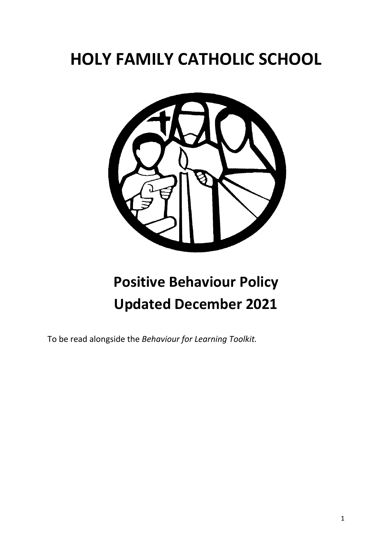# **HOLY FAMILY CATHOLIC SCHOOL**



# **Positive Behaviour Policy Updated December 2021**

To be read alongside the *Behaviour for Learning Toolkit.*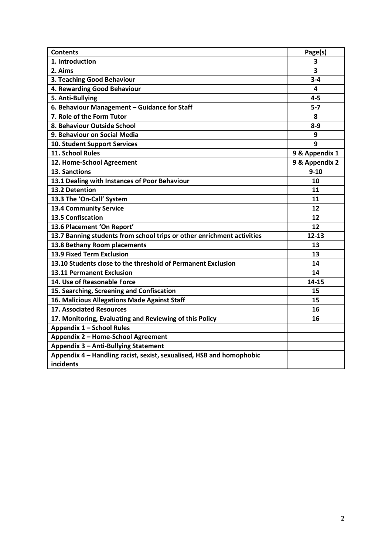| <b>Contents</b>                                                        | Page(s)                 |
|------------------------------------------------------------------------|-------------------------|
| 1. Introduction                                                        | 3                       |
| 2. Aims                                                                | $\overline{\mathbf{3}}$ |
| 3. Teaching Good Behaviour                                             | $3 - 4$                 |
| 4. Rewarding Good Behaviour                                            | 4                       |
| 5. Anti-Bullying                                                       | $4 - 5$                 |
| 6. Behaviour Management - Guidance for Staff                           | $5-7$                   |
| 7. Role of the Form Tutor                                              | 8                       |
| 8. Behaviour Outside School                                            | $8-9$                   |
| 9. Behaviour on Social Media                                           | 9                       |
| <b>10. Student Support Services</b>                                    | 9                       |
| 11. School Rules                                                       | 9 & Appendix 1          |
| 12. Home-School Agreement                                              | 9 & Appendix 2          |
| 13. Sanctions                                                          | $9 - 10$                |
| 13.1 Dealing with Instances of Poor Behaviour                          | 10                      |
| 13.2 Detention                                                         | 11                      |
| 13.3 The 'On-Call' System                                              | 11                      |
| <b>13.4 Community Service</b>                                          | 12                      |
| <b>13.5 Confiscation</b>                                               | 12                      |
| 13.6 Placement 'On Report'                                             | 12                      |
| 13.7 Banning students from school trips or other enrichment activities | $12 - 13$               |
| 13.8 Bethany Room placements                                           | 13                      |
| 13.9 Fixed Term Exclusion                                              | 13                      |
| 13.10 Students close to the threshold of Permanent Exclusion           | 14                      |
| 13.11 Permanent Exclusion                                              | 14                      |
| 14. Use of Reasonable Force                                            | 14-15                   |
| 15. Searching, Screening and Confiscation                              | 15                      |
| 16. Malicious Allegations Made Against Staff                           | 15                      |
| <b>17. Associated Resources</b>                                        | 16                      |
| 17. Monitoring, Evaluating and Reviewing of this Policy                | 16                      |
| Appendix 1 - School Rules                                              |                         |
| Appendix 2 - Home-School Agreement                                     |                         |
| Appendix 3 - Anti-Bullying Statement                                   |                         |
| Appendix 4 - Handling racist, sexist, sexualised, HSB and homophobic   |                         |
| incidents                                                              |                         |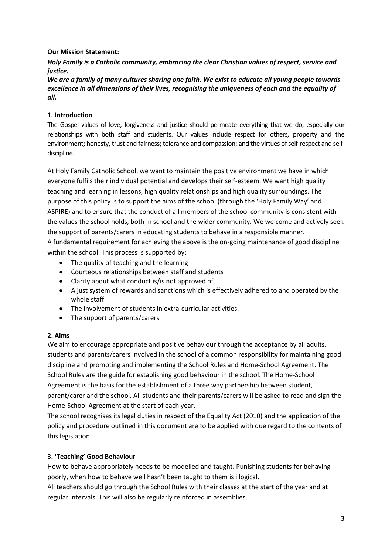## **Our Mission Statement:**

*Holy Family is a Catholic community, embracing the clear Christian values of respect, service and justice.*

*We are a family of many cultures sharing one faith. We exist to educate all young people towards excellence in all dimensions of their lives, recognising the uniqueness of each and the equality of all.*

# **1. Introduction**

The Gospel values of love, forgiveness and justice should permeate everything that we do, especially our relationships with both staff and students. Our values include respect for others, property and the environment; honesty, trust and fairness; tolerance and compassion; and the virtues of self-respect and selfdiscipline.

At Holy Family Catholic School, we want to maintain the positive environment we have in which everyone fulfils their individual potential and develops their self-esteem. We want high quality teaching and learning in lessons, high quality relationships and high quality surroundings. The purpose of this policy is to support the aims of the school (through the 'Holy Family Way' and ASPIRE) and to ensure that the conduct of all members of the school community is consistent with the values the school holds, both in school and the wider community. We welcome and actively seek the support of parents/carers in educating students to behave in a responsible manner. A fundamental requirement for achieving the above is the on-going maintenance of good discipline

within the school. This process is supported by:

- The quality of teaching and the learning
- Courteous relationships between staff and students
- Clarity about what conduct is/is not approved of
- A just system of rewards and sanctions which is effectively adhered to and operated by the whole staff.
- The involvement of students in extra-curricular activities.
- The support of parents/carers

### **2. Aims**

We aim to encourage appropriate and positive behaviour through the acceptance by all adults, students and parents/carers involved in the school of a common responsibility for maintaining good discipline and promoting and implementing the School Rules and Home-School Agreement. The School Rules are the guide for establishing good behaviour in the school. The Home-School Agreement is the basis for the establishment of a three way partnership between student, parent/carer and the school. All students and their parents/carers will be asked to read and sign the Home-School Agreement at the start of each year.

The school recognises its legal duties in respect of the Equality Act (2010) and the application of the policy and procedure outlined in this document are to be applied with due regard to the contents of this legislation.

### **3. 'Teaching' Good Behaviour**

How to behave appropriately needs to be modelled and taught. Punishing students for behaving poorly, when how to behave well hasn't been taught to them is illogical.

All teachers should go through the School Rules with their classes at the start of the year and at regular intervals. This will also be regularly reinforced in assemblies.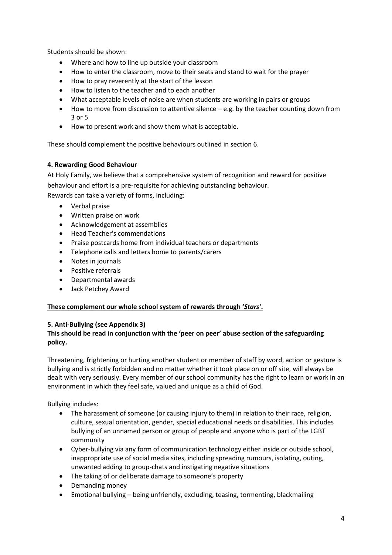Students should be shown:

- Where and how to line up outside your classroom
- How to enter the classroom, move to their seats and stand to wait for the prayer
- How to pray reverently at the start of the lesson
- How to listen to the teacher and to each another
- What acceptable levels of noise are when students are working in pairs or groups
- $\bullet$  How to move from discussion to attentive silence  $-e.g.$  by the teacher counting down from 3 or 5
- How to present work and show them what is acceptable.

These should complement the positive behaviours outlined in section 6.

### **4. Rewarding Good Behaviour**

At Holy Family, we believe that a comprehensive system of recognition and reward for positive behaviour and effort is a pre-requisite for achieving outstanding behaviour.

Rewards can take a variety of forms, including:

- Verbal praise
- Written praise on work
- Acknowledgement at assemblies
- Head Teacher's commendations
- Praise postcards home from individual teachers or departments
- Telephone calls and letters home to parents/carers
- Notes in journals
- Positive referrals
- Departmental awards
- Jack Petchey Award

### **These complement our whole school system of rewards through '***Stars'***.**

### **5. Anti-Bullying (see Appendix 3)**

## **This should be read in conjunction with the 'peer on peer' abuse section of the safeguarding policy.**

Threatening, frightening or hurting another student or member of staff by word, action or gesture is bullying and is strictly forbidden and no matter whether it took place on or off site, will always be dealt with very seriously. Every member of our school community has the right to learn or work in an environment in which they feel safe, valued and unique as a child of God.

Bullying includes:

- The harassment of someone (or causing injury to them) in relation to their race, religion, culture, sexual orientation, gender, special educational needs or disabilities. This includes bullying of an unnamed person or group of people and anyone who is part of the LGBT community
- Cyber-bullying via any form of communication technology either inside or outside school, inappropriate use of social media sites, including spreading rumours, isolating, outing, unwanted adding to group-chats and instigating negative situations
- The taking of or deliberate damage to someone's property
- Demanding money
- Emotional bullying being unfriendly, excluding, teasing, tormenting, blackmailing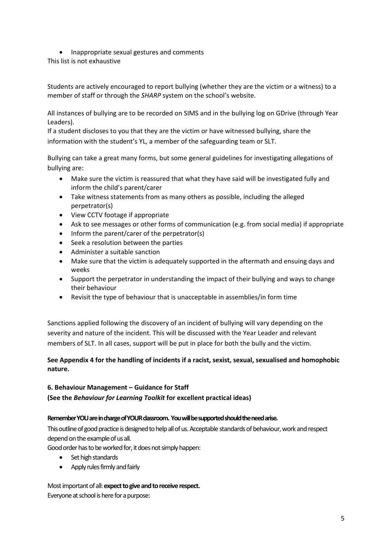• Inappropriate sexual gestures and comments

This list is not exhaustive

Students are actively encouraged to report bullying (whether they are the victim or a witness) to a member of staff or through the *SHARP* system on the school's website.

All instances of bullying are to be recorded on SIMS and in the bullying log on GDrive (through Year Leaders).

If a student discloses to you that they are the victim or have witnessed bullying, share the information with the student's YL, a member of the safeguarding team or SLT.

Bullying can take a great many forms, but some general guidelines for investigating allegations of bullying are:

- Make sure the victim is reassured that what they have said will be investigated fully and inform the child's parent/carer
- Take witness statements from as many others as possible, including the alleged perpetrator(s)
- View CCTV footage if appropriate
- Ask to see messages or other forms of communication (e.g. from social media) if appropriate
- Inform the parent/carer of the perpetrator(s)
- Seek a resolution between the parties
- Administer a suitable sanction
- Make sure that the victim is adequately supported in the aftermath and ensuing days and weeks
- Support the perpetrator in understanding the impact of their bullying and ways to change their behaviour
- Revisit the type of behaviour that is unacceptable in assemblies/in form time

Sanctions applied following the discovery of an incident of bullying will vary depending on the severity and nature of the incident. This will be discussed with the Year Leader and relevant members of SLT. In all cases, support will be put in place for both the bully and the victim.

## **See Appendix 4 for the handling of incidents if a racist, sexist, sexual, sexualised and homophobic nature.**

### **6. Behaviour Management – Guidance for Staff**

**(See the** *Behaviour for Learning Toolkit* **for excellent practical ideas)**

#### **Remember YOU are in charge of YOUR classroom. You will be supported should the need arise.**

This outline of good practice is designed to help all of us. Acceptable standards of behaviour, work and respect depend on the example of us all.

Good order has to be worked for, it does not simply happen:

- Set high standards
- Apply rules firmly and fairly

#### Most important of all:**expect to give and to receive respect.** Everyone at school is here for a purpose: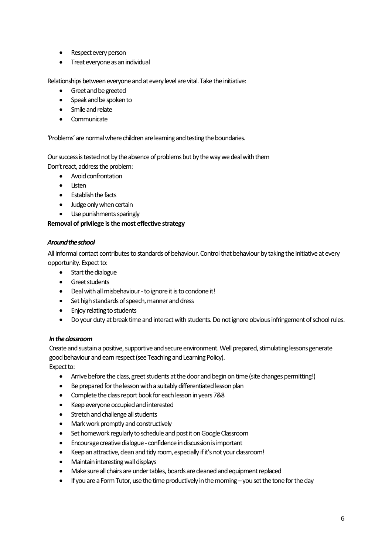- Respect every person
- Treat everyone as an individual

Relationships between everyone and at every level are vital. Take the initiative:

- Greet and be greeted
- Speak and be spoken to
- Smile and relate
- Communicate

'Problems' are normal where children are learning and testing the boundaries.

Our success is tested not by the absence of problems but by the way we deal with them Don't react, address the problem:

- Avoid confrontation
- Listen
- $\bullet$  **Establish the facts**
- Judge only when certain
- Use punishments sparingly

#### **Removal of privilege is the most effective strategy**

#### *Around the school*

All informal contact contributes to standards of behaviour. Control that behaviour by taking the initiative at every opportunity. Expect to:

- Start the dialogue
- **•** Greet students
- Deal with all misbehaviour -to ignore it is to condone it!
- Set high standards of speech, manner and dress
- Enjoy relating to students
- Do your duty at break time and interact with students. Do not ignore obvious infringement of school rules.

#### *In the classroom*

Create and sustain a positive, supportive and secure environment. Well prepared, stimulating lessons generate good behaviour and earn respect (see Teaching and Learning Policy).

Expect to:

- Arrive before the class, greet students at the door and begin on time (site changes permitting!)
- Be prepared for the lesson with a suitably differentiated lesson plan
- Complete the class report book for each lesson in years 7&8
- Keep everyone occupied and interested
- Stretch and challenge all students
- Mark work promptly and constructively
- Set homework regularly to schedule and post it on Google Classroom
- Encourage creative dialogue confidence in discussion is important
- Keep an attractive, clean and tidy room, especially if it's not your classroom!
- Maintain interesting wall displays
- Make sure all chairs are under tables, boards are cleaned and equipment replaced
- If you are a Form Tutor, use the time productively in the morning you set the tone for the day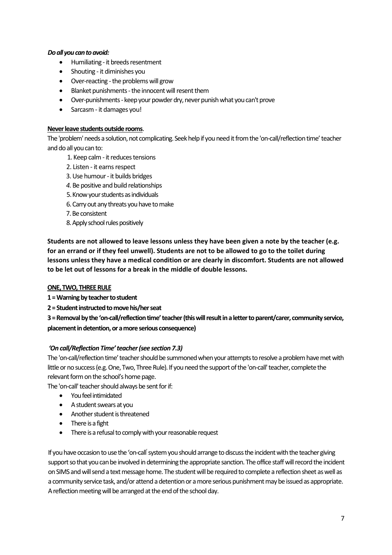### *Do all you can to avoid:*

- Humiliating it breeds resentment
- Shouting it diminishes you
- Over-reacting -the problems will grow
- Blanket punishments the innocent will resent them
- Over-punishments keep your powder dry, never punish what you can't prove
- Sarcasm it damages you!

#### **Never leave students outside rooms**.

The 'problem' needs a solution, not complicating. Seek help if you need it from the 'on-call/reflection time' teacher and do all you can to:

- 1. Keep calm it reduces tensions
- 2. Listen it earns respect
- 3. Use humour it builds bridges
- *4.* Be positive and build relationships
- 5. Know your students as individuals
- 6. Carry out any threats you have to make
- 7. Be consistent
- 8. Apply school rules positively

**Students are not allowed to leave lessons unless they have been given a note by the teacher (e.g. for an errand or if they feel unwell). Students are not to be allowed to go to the toilet during lessons unless they have a medical condition or are clearly in discomfort. Students are not allowed to be let out of lessons for a break in the middle of double lessons.** 

#### **ONE, TWO, THREE RULE**

**1 = Warning by teacher to student**

**2 = Student instructed to move his/her seat**

**3 = Removal by the 'on-call/reflection time' teacher (this will result in a letter to parent/carer, community service, placement in detention, or a more serious consequence)**

#### *'On call/Reflection Time' teacher(see section 7.3)*

The 'on-call/reflection time' teacher should be summoned when your attempts to resolve a problem have met with little or no success (e.g. One, Two, Three Rule). If you need the support of the 'on-call' teacher, complete the relevant form on the school's home page.

The 'on-call' teacher should always be sent for if:

- You feel intimidated
- A student swears at you
- Another student is threatened
- There is a fight
- There is a refusal to comply with your reasonable request

If you have occasion to use the 'on-call' system you should arrange to discuss the incident with the teacher giving support so that you can be involved in determining the appropriate sanction. The office staff will record the incident on SIMS and will send a text message home. The student will be required to complete a reflection sheet as well as a community service task, and/or attend a detention or a more serious punishment may be issued as appropriate. A reflection meeting will be arranged at the end of the school day.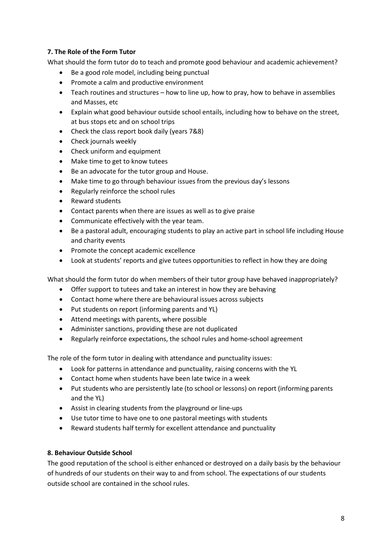## **7. The Role of the Form Tutor**

What should the form tutor do to teach and promote good behaviour and academic achievement?

- Be a good role model, including being punctual
- Promote a calm and productive environment
- Teach routines and structures how to line up, how to pray, how to behave in assemblies and Masses, etc
- Explain what good behaviour outside school entails, including how to behave on the street, at bus stops etc and on school trips
- Check the class report book daily (years 7&8)
- Check journals weekly
- Check uniform and equipment
- Make time to get to know tutees
- Be an advocate for the tutor group and House.
- Make time to go through behaviour issues from the previous day's lessons
- Regularly reinforce the school rules
- Reward students
- Contact parents when there are issues as well as to give praise
- Communicate effectively with the year team.
- Be a pastoral adult, encouraging students to play an active part in school life including House and charity events
- Promote the concept academic excellence
- Look at students' reports and give tutees opportunities to reflect in how they are doing

What should the form tutor do when members of their tutor group have behaved inappropriately?

- Offer support to tutees and take an interest in how they are behaving
- Contact home where there are behavioural issues across subjects
- Put students on report (informing parents and YL)
- Attend meetings with parents, where possible
- Administer sanctions, providing these are not duplicated
- Regularly reinforce expectations, the school rules and home-school agreement

The role of the form tutor in dealing with attendance and punctuality issues:

- Look for patterns in attendance and punctuality, raising concerns with the YL
- Contact home when students have been late twice in a week
- Put students who are persistently late (to school or lessons) on report (informing parents and the YL)
- Assist in clearing students from the playground or line-ups
- Use tutor time to have one to one pastoral meetings with students
- Reward students half termly for excellent attendance and punctuality

#### **8. Behaviour Outside School**

The good reputation of the school is either enhanced or destroyed on a daily basis by the behaviour of hundreds of our students on their way to and from school. The expectations of our students outside school are contained in the school rules.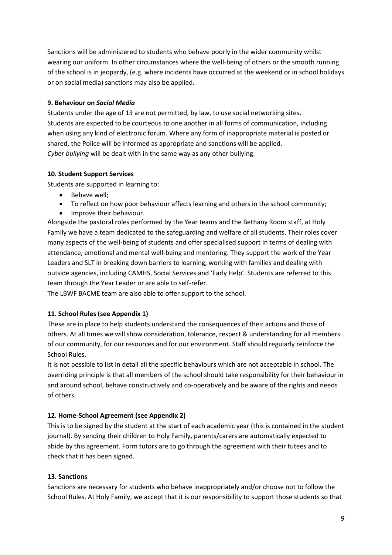Sanctions will be administered to students who behave poorly in the wider community whilst wearing our uniform. In other circumstances where the well-being of others or the smooth running of the school is in jeopardy, (e.g. where incidents have occurred at the weekend or in school holidays or on social media) sanctions may also be applied.

## **9. Behaviour on** *Social Media*

Students under the age of 13 are not permitted, by law, to use social networking sites. Students are expected to be courteous to one another in all forms of communication, including when using any kind of electronic forum. Where any form of inappropriate material is posted or shared, the Police will be informed as appropriate and sanctions will be applied. *Cyber bullying* will be dealt with in the same way as any other bullying.

## **10. Student Support Services**

Students are supported in learning to:

- Behave well;
- To reflect on how poor behaviour affects learning and others in the school community;
- Improve their behaviour.

Alongside the pastoral roles performed by the Year teams and the Bethany Room staff, at Holy Family we have a team dedicated to the safeguarding and welfare of all students. Their roles cover many aspects of the well-being of students and offer specialised support in terms of dealing with attendance, emotional and mental well-being and mentoring. They support the work of the Year Leaders and SLT in breaking down barriers to learning, working with families and dealing with outside agencies, including CAMHS, Social Services and 'Early Help'. Students are referred to this team through the Year Leader or are able to self-refer.

The LBWF BACME team are also able to offer support to the school.

# **11. School Rules (see Appendix 1)**

These are in place to help students understand the consequences of their actions and those of others. At all times we will show consideration, tolerance, respect & understanding for all members of our community, for our resources and for our environment. Staff should regularly reinforce the School Rules.

It is not possible to list in detail all the specific behaviours which are not acceptable in school. The overriding principle is that all members of the school should take responsibility for their behaviour in and around school, behave constructively and co-operatively and be aware of the rights and needs of others.

# **12. Home-School Agreement (see Appendix 2)**

This is to be signed by the student at the start of each academic year (this is contained in the student journal). By sending their children to Holy Family, parents/carers are automatically expected to abide by this agreement. Form tutors are to go through the agreement with their tutees and to check that it has been signed.

### **13. Sanctions**

Sanctions are necessary for students who behave inappropriately and/or choose not to follow the School Rules. At Holy Family, we accept that it is our responsibility to support those students so that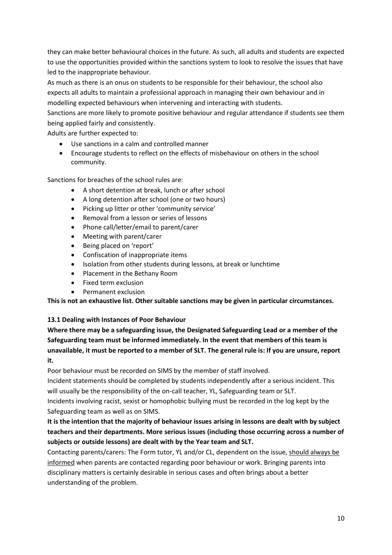they can make better behavioural choices in the future. As such, all adults and students are expected to use the opportunities provided within the sanctions system to look to resolve the issues that have led to the inappropriate behaviour.

As much as there is an onus on students to be responsible for their behaviour, the school also expects all adults to maintain a professional approach in managing their own behaviour and in modelling expected behaviours when intervening and interacting with students.

Sanctions are more likely to promote positive behaviour and regular attendance if students see them being applied fairly and consistently.

Adults are further expected to:

- Use sanctions in a calm and controlled manner
- Encourage students to reflect on the effects of misbehaviour on others in the school community.

Sanctions for breaches of the school rules are:

- A short detention at break, lunch or after school
- A long detention after school (one or two hours)
- Picking up litter or other 'community service'
- Removal from a lesson or series of lessons
- Phone call/letter/email to parent/carer
- Meeting with parent/carer
- Being placed on 'report'
- Confiscation of inappropriate items
- Isolation from other students during lessons, at break or lunchtime
- Placement in the Bethany Room
- Fixed term exclusion
- Permanent exclusion

**This is not an exhaustive list. Other suitable sanctions may be given in particular circumstances.**

### **13.1 Dealing with Instances of Poor Behaviour**

**Where there may be a safeguarding issue, the Designated Safeguarding Lead or a member of the Safeguarding team must be informed immediately. In the event that members of this team is unavailable, it must be reported to a member of SLT. The general rule is: If you are unsure, report it.** 

Poor behaviour must be recorded on SIMS by the member of staff involved.

Incident statements should be completed by students independently after a serious incident. This will usually be the responsibility of the on-call teacher, YL, Safeguarding team or SLT.

Incidents involving racist, sexist or homophobic bullying must be recorded in the log kept by the Safeguarding team as well as on SIMS.

# **It is the intention that the majority of behaviour issues arising in lessons are dealt with by subject teachers and their departments. More serious issues (including those occurring across a number of subjects or outside lessons) are dealt with by the Year team and SLT.**

Contacting parents/carers: The Form tutor, YL and/or CL, dependent on the issue, should always be informed when parents are contacted regarding poor behaviour or work. Bringing parents into disciplinary matters is certainly desirable in serious cases and often brings about a better understanding of the problem.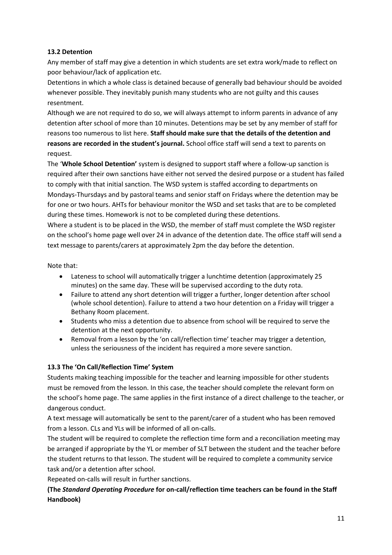## **13.2 Detention**

Any member of staff may give a detention in which students are set extra work/made to reflect on poor behaviour/lack of application etc.

Detentions in which a whole class is detained because of generally bad behaviour should be avoided whenever possible. They inevitably punish many students who are not guilty and this causes resentment.

Although we are not required to do so, we will always attempt to inform parents in advance of any detention after school of more than 10 minutes. Detentions may be set by any member of staff for reasons too numerous to list here. **Staff should make sure that the details of the detention and reasons are recorded in the student's journal.** School office staff will send a text to parents on request.

The '**Whole School Detention'** system is designed to support staff where a follow-up sanction is required after their own sanctions have either not served the desired purpose or a student has failed to comply with that initial sanction. The WSD system is staffed according to departments on Mondays-Thursdays and by pastoral teams and senior staff on Fridays where the detention may be for one or two hours. AHTs for behaviour monitor the WSD and set tasks that are to be completed during these times. Homework is not to be completed during these detentions.

Where a student is to be placed in the WSD, the member of staff must complete the WSD register on the school's home page well over 24 in advance of the detention date. The office staff will send a text message to parents/carers at approximately 2pm the day before the detention.

Note that:

- Lateness to school will automatically trigger a lunchtime detention (approximately 25 minutes) on the same day. These will be supervised according to the duty rota.
- Failure to attend any short detention will trigger a further, longer detention after school (whole school detention). Failure to attend a two hour detention on a Friday will trigger a Bethany Room placement.
- Students who miss a detention due to absence from school will be required to serve the detention at the next opportunity.
- Removal from a lesson by the 'on call/reflection time' teacher may trigger a detention, unless the seriousness of the incident has required a more severe sanction.

# **13.3 The 'On Call/Reflection Time' System**

Students making teaching impossible for the teacher and learning impossible for other students must be removed from the lesson. In this case, the teacher should complete the relevant form on the school's home page. The same applies in the first instance of a direct challenge to the teacher, or dangerous conduct.

A text message will automatically be sent to the parent/carer of a student who has been removed from a lesson. CLs and YLs will be informed of all on-calls.

The student will be required to complete the reflection time form and a reconciliation meeting may be arranged if appropriate by the YL or member of SLT between the student and the teacher before the student returns to that lesson. The student will be required to complete a community service task and/or a detention after school.

Repeated on-calls will result in further sanctions.

# **(The** *Standard Operating Procedure* **for on-call/reflection time teachers can be found in the Staff Handbook)**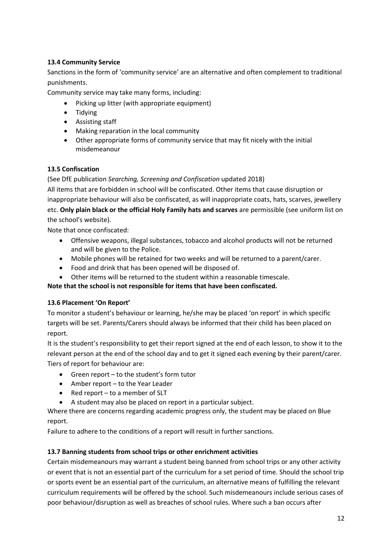## **13.4 Community Service**

Sanctions in the form of 'community service' are an alternative and often complement to traditional punishments.

Community service may take many forms, including:

- Picking up litter (with appropriate equipment)
- Tidving
- Assisting staff
- Making reparation in the local community
- Other appropriate forms of community service that may fit nicely with the initial misdemeanour

### **13.5 Confiscation**

#### (See DfE publication *Searching, Screening and Confiscation* updated 2018)

All items that are forbidden in school will be confiscated. Other items that cause disruption or inappropriate behaviour will also be confiscated, as will inappropriate coats, hats, scarves, jewellery etc. **Only plain black or the official Holy Family hats and scarves** are permissible (see uniform list on the school's website).

Note that once confiscated:

- Offensive weapons, illegal substances, tobacco and alcohol products will not be returned and will be given to the Police.
- Mobile phones will be retained for two weeks and will be returned to a parent/carer.
- Food and drink that has been opened will be disposed of.
- Other items will be returned to the student within a reasonable timescale.

**Note that the school is not responsible for items that have been confiscated.**

### **13.6 Placement 'On Report'**

To monitor a student's behaviour or learning, he/she may be placed 'on report' in which specific targets will be set. Parents/Carers should always be informed that their child has been placed on report.

It is the student's responsibility to get their report signed at the end of each lesson, to show it to the relevant person at the end of the school day and to get it signed each evening by their parent/carer. Tiers of report for behaviour are:

- Green report to the student's form tutor
- Amber report to the Year Leader
- $\bullet$  Red report to a member of SLT
- A student may also be placed on report in a particular subject.

Where there are concerns regarding academic progress only, the student may be placed on Blue report.

Failure to adhere to the conditions of a report will result in further sanctions.

### **13.7 Banning students from school trips or other enrichment activities**

Certain misdemeanours may warrant a student being banned from school trips or any other activity or event that is not an essential part of the curriculum for a set period of time. Should the school trip or sports event be an essential part of the curriculum, an alternative means of fulfilling the relevant curriculum requirements will be offered by the school. Such misdemeanours include serious cases of poor behaviour/disruption as well as breaches of school rules. Where such a ban occurs after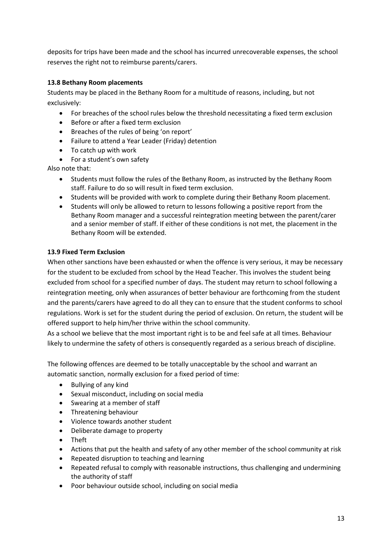deposits for trips have been made and the school has incurred unrecoverable expenses, the school reserves the right not to reimburse parents/carers.

## **13.8 Bethany Room placements**

Students may be placed in the Bethany Room for a multitude of reasons, including, but not exclusively:

- For breaches of the school rules below the threshold necessitating a fixed term exclusion
- Before or after a fixed term exclusion
- Breaches of the rules of being 'on report'
- Failure to attend a Year Leader (Friday) detention
- To catch up with work
- For a student's own safety

Also note that:

- Students must follow the rules of the Bethany Room, as instructed by the Bethany Room staff. Failure to do so will result in fixed term exclusion.
- Students will be provided with work to complete during their Bethany Room placement.
- Students will only be allowed to return to lessons following a positive report from the Bethany Room manager and a successful reintegration meeting between the parent/carer and a senior member of staff. If either of these conditions is not met, the placement in the Bethany Room will be extended.

### **13.9 Fixed Term Exclusion**

When other sanctions have been exhausted or when the offence is very serious, it may be necessary for the student to be excluded from school by the Head Teacher. This involves the student being excluded from school for a specified number of days. The student may return to school following a reintegration meeting, only when assurances of better behaviour are forthcoming from the student and the parents/carers have agreed to do all they can to ensure that the student conforms to school regulations. Work is set for the student during the period of exclusion. On return, the student will be offered support to help him/her thrive within the school community.

As a school we believe that the most important right is to be and feel safe at all times. Behaviour likely to undermine the safety of others is consequently regarded as a serious breach of discipline.

The following offences are deemed to be totally unacceptable by the school and warrant an automatic sanction, normally exclusion for a fixed period of time:

- Bullying of any kind
- Sexual misconduct, including on social media
- Swearing at a member of staff
- Threatening behaviour
- Violence towards another student
- Deliberate damage to property
- Theft
- Actions that put the health and safety of any other member of the school community at risk
- Repeated disruption to teaching and learning
- Repeated refusal to comply with reasonable instructions, thus challenging and undermining the authority of staff
- Poor behaviour outside school, including on social media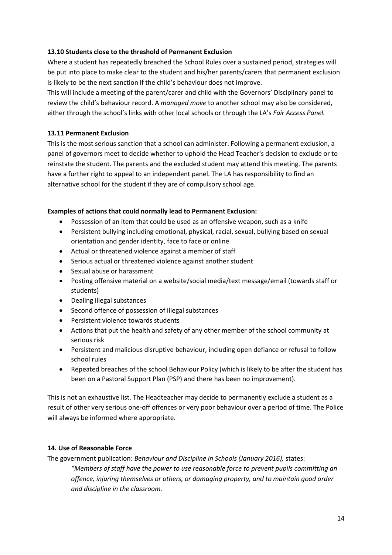#### **13.10 Students close to the threshold of Permanent Exclusion**

Where a student has repeatedly breached the School Rules over a sustained period, strategies will be put into place to make clear to the student and his/her parents/carers that permanent exclusion is likely to be the next sanction if the child's behaviour does not improve.

This will include a meeting of the parent/carer and child with the Governors' Disciplinary panel to review the child's behaviour record. A *managed move* to another school may also be considered, either through the school's links with other local schools or through the LA's *Fair Access Panel.*

#### **13.11 Permanent Exclusion**

This is the most serious sanction that a school can administer. Following a permanent exclusion, a panel of governors meet to decide whether to uphold the Head Teacher's decision to exclude or to reinstate the student. The parents and the excluded student may attend this meeting. The parents have a further right to appeal to an independent panel. The LA has responsibility to find an alternative school for the student if they are of compulsory school age.

#### **Examples of actions that could normally lead to Permanent Exclusion:**

- Possession of an item that could be used as an offensive weapon, such as a knife
- Persistent bullying including emotional, physical, racial, sexual, bullying based on sexual orientation and gender identity, face to face or online
- Actual or threatened violence against a member of staff
- Serious actual or threatened violence against another student
- Sexual abuse or harassment
- Posting offensive material on a website/social media/text message/email (towards staff or students)
- Dealing illegal substances
- Second offence of possession of illegal substances
- Persistent violence towards students
- Actions that put the health and safety of any other member of the school community at serious risk
- Persistent and malicious disruptive behaviour, including open defiance or refusal to follow school rules
- Repeated breaches of the school Behaviour Policy (which is likely to be after the student has been on a Pastoral Support Plan (PSP) and there has been no improvement).

This is not an exhaustive list. The Headteacher may decide to permanently exclude a student as a result of other very serious one-off offences or very poor behaviour over a period of time. The Police will always be informed where appropriate.

### **14. Use of Reasonable Force**

The government publication: *Behaviour and Discipline in Schools (January 2016),* states:

*"Members of staff have the power to use reasonable force to prevent pupils committing an offence, injuring themselves or others, or damaging property, and to maintain good order and discipline in the classroom.*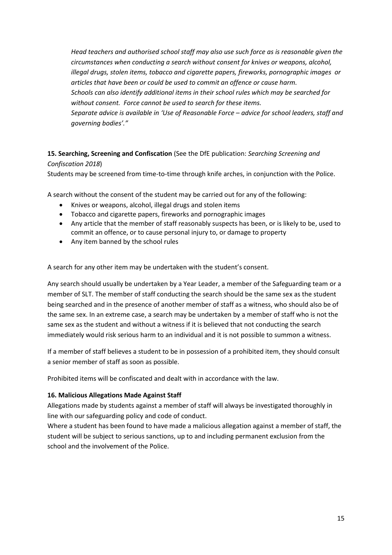*Head teachers and authorised school staff may also use such force as is reasonable given the circumstances when conducting a search without consent for knives or weapons, alcohol, illegal drugs, stolen items, tobacco and cigarette papers, fireworks, pornographic images or articles that have been or could be used to commit an offence or cause harm. Schools can also identify additional items in their school rules which may be searched for without consent. Force cannot be used to search for these items. Separate advice is available in 'Use of Reasonable Force – advice for school leaders, staff and governing bodies'."*

# **15. Searching, Screening and Confiscation** (See the DfE publication: *Searching Screening and Confiscation 2018*)

Students may be screened from time-to-time through knife arches, in conjunction with the Police.

A search without the consent of the student may be carried out for any of the following:

- Knives or weapons, alcohol, illegal drugs and stolen items
- Tobacco and cigarette papers, fireworks and pornographic images
- Any article that the member of staff reasonably suspects has been, or is likely to be, used to commit an offence, or to cause personal injury to, or damage to property
- Any item banned by the school rules

A search for any other item may be undertaken with the student's consent.

Any search should usually be undertaken by a Year Leader, a member of the Safeguarding team or a member of SLT. The member of staff conducting the search should be the same sex as the student being searched and in the presence of another member of staff as a witness, who should also be of the same sex. In an extreme case, a search may be undertaken by a member of staff who is not the same sex as the student and without a witness if it is believed that not conducting the search immediately would risk serious harm to an individual and it is not possible to summon a witness.

If a member of staff believes a student to be in possession of a prohibited item, they should consult a senior member of staff as soon as possible.

Prohibited items will be confiscated and dealt with in accordance with the law.

#### **16. Malicious Allegations Made Against Staff**

Allegations made by students against a member of staff will always be investigated thoroughly in line with our safeguarding policy and code of conduct.

Where a student has been found to have made a malicious allegation against a member of staff, the student will be subject to serious sanctions, up to and including permanent exclusion from the school and the involvement of the Police.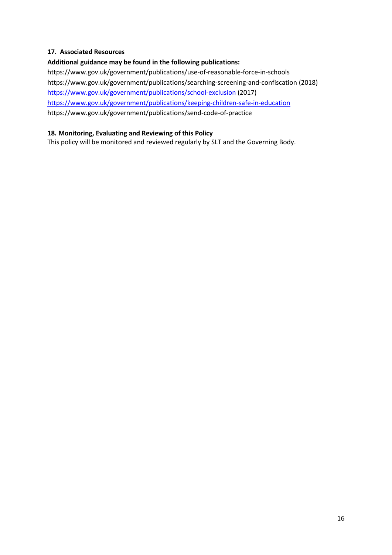### **17. Associated Resources**

### **Additional guidance may be found in the following publications:**

https://www.gov.uk/government/publications/use-of-reasonable-force-in-schools https://www.gov.uk/government/publications/searching-screening-and-confiscation (2018) <https://www.gov.uk/government/publications/school-exclusion> (2017) <https://www.gov.uk/government/publications/keeping-children-safe-in-education> https://www.gov.uk/government/publications/send-code-of-practice

#### **18. Monitoring, Evaluating and Reviewing of this Policy**

This policy will be monitored and reviewed regularly by SLT and the Governing Body.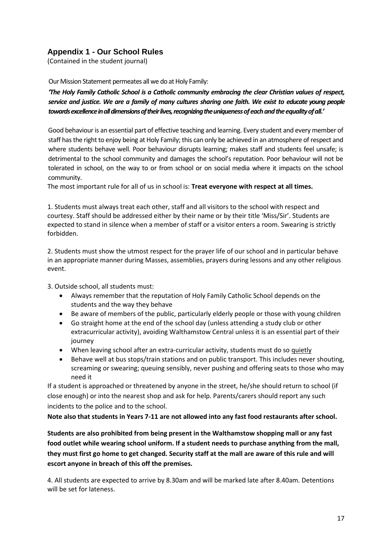# **Appendix 1 - Our School Rules**

(Contained in the student journal)

Our Mission Statement permeates all we do at Holy Family:

*'The Holy Family Catholic School is a Catholic community embracing the clear Christian values of respect, service and justice. We are a family of many cultures sharing one faith. We exist to educate young people*  towards excellence in all dimensions of their lives, recognizing the uniqueness of each and the equality of all.'

Good behaviour is an essential part of effective teaching and learning. Every student and every member of staff has the right to enjoy being at Holy Family; this can only be achieved in an atmosphere of respect and where students behave well. Poor behaviour disrupts learning; makes staff and students feel unsafe; is detrimental to the school community and damages the school's reputation. Poor behaviour will not be tolerated in school, on the way to or from school or on social media where it impacts on the school community.

The most important rule for all of us in school is: **Treat everyone with respect at all times.**

1. Students must always treat each other, staff and all visitors to the school with respect and courtesy. Staff should be addressed either by their name or by their title 'Miss/Sir'. Students are expected to stand in silence when a member of staff or a visitor enters a room. Swearing is strictly forbidden.

2. Students must show the utmost respect for the prayer life of our school and in particular behave in an appropriate manner during Masses, assemblies, prayers during lessons and any other religious event.

3. Outside school, all students must:

- Always remember that the reputation of Holy Family Catholic School depends on the students and the way they behave
- Be aware of members of the public, particularly elderly people or those with young children
- Go straight home at the end of the school day (unless attending a study club or other extracurricular activity), avoiding Walthamstow Central unless it is an essential part of their journey
- When leaving school after an extra-curricular activity, students must do so quietly
- Behave well at bus stops/train stations and on public transport. This includes never shouting, screaming or swearing; queuing sensibly, never pushing and offering seats to those who may need it

If a student is approached or threatened by anyone in the street, he/she should return to school (if close enough) or into the nearest shop and ask for help. Parents/carers should report any such incidents to the police and to the school.

**Note also that students in Years 7-11 are not allowed into any fast food restaurants after school.**

**Students are also prohibited from being present in the Walthamstow shopping mall or any fast food outlet while wearing school uniform. If a student needs to purchase anything from the mall, they must first go home to get changed. Security staff at the mall are aware of this rule and will escort anyone in breach of this off the premises.**

4. All students are expected to arrive by 8.30am and will be marked late after 8.40am. Detentions will be set for lateness.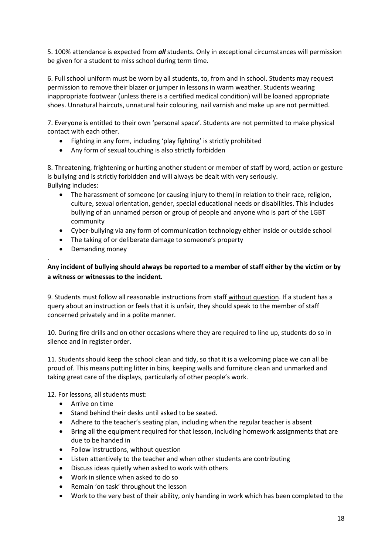5. 100% attendance is expected from *all* students. Only in exceptional circumstances will permission be given for a student to miss school during term time.

6. Full school uniform must be worn by all students, to, from and in school. Students may request permission to remove their blazer or jumper in lessons in warm weather. Students wearing inappropriate footwear (unless there is a certified medical condition) will be loaned appropriate shoes. Unnatural haircuts, unnatural hair colouring, nail varnish and make up are not permitted.

7. Everyone is entitled to their own 'personal space'. Students are not permitted to make physical contact with each other.

- Fighting in any form, including 'play fighting' is strictly prohibited
- Any form of sexual touching is also strictly forbidden

8. Threatening, frightening or hurting another student or member of staff by word, action or gesture is bullying and is strictly forbidden and will always be dealt with very seriously. Bullying includes:

- The harassment of someone (or causing injury to them) in relation to their race, religion, culture, sexual orientation, gender, special educational needs or disabilities. This includes bullying of an unnamed person or group of people and anyone who is part of the LGBT community
- Cyber-bullying via any form of communication technology either inside or outside school
- The taking of or deliberate damage to someone's property
- Demanding money

#### . **Any incident of bullying should always be reported to a member of staff either by the victim or by a witness or witnesses to the incident.**

9. Students must follow all reasonable instructions from staff without question. If a student has a query about an instruction or feels that it is unfair, they should speak to the member of staff concerned privately and in a polite manner.

10. During fire drills and on other occasions where they are required to line up, students do so in silence and in register order.

11. Students should keep the school clean and tidy, so that it is a welcoming place we can all be proud of. This means putting litter in bins, keeping walls and furniture clean and unmarked and taking great care of the displays, particularly of other people's work.

12. For lessons, all students must:

- Arrive on time
- Stand behind their desks until asked to be seated.
- Adhere to the teacher's seating plan, including when the regular teacher is absent
- Bring all the equipment required for that lesson, including homework assignments that are due to be handed in
- Follow instructions, without question
- Listen attentively to the teacher and when other students are contributing
- Discuss ideas quietly when asked to work with others
- Work in silence when asked to do so
- Remain 'on task' throughout the lesson
- Work to the very best of their ability, only handing in work which has been completed to the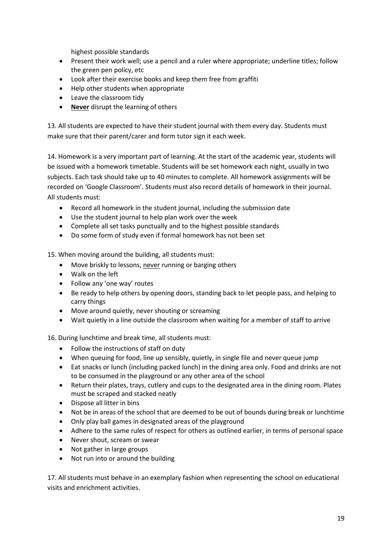highest possible standards

- Present their work well; use a pencil and a ruler where appropriate; underline titles; follow the green pen policy, etc
- Look after their exercise books and keep them free from graffiti
- Help other students when appropriate
- Leave the classroom tidy
- **Never** disrupt the learning of others

13. All students are expected to have their student journal with them every day. Students must make sure that their parent/carer and form tutor sign it each week.

14. Homework is a very important part of learning. At the start of the academic year, students will be issued with a homework timetable. Students will be set homework each night, usually in two subjects. Each task should take up to 40 minutes to complete. All homework assignments will be recorded on 'Google Classroom'. Students must also record details of homework in their journal. All students must:

- Record all homework in the student journal, including the submission date
- Use the student journal to help plan work over the week
- Complete all set tasks punctually and to the highest possible standards
- Do some form of study even if formal homework has not been set

15. When moving around the building, all students must:

- Move briskly to lessons, never running or barging others
- Walk on the left
- Follow any 'one way' routes
- Be ready to help others by opening doors, standing back to let people pass, and helping to carry things
- Move around quietly, never shouting or screaming
- Wait quietly in a line outside the classroom when waiting for a member of staff to arrive

16. During lunchtime and break time, all students must:

- Follow the instructions of staff on duty
- When queuing for food, line up sensibly, quietly, in single file and never queue jump
- Eat snacks or lunch (including packed lunch) in the dining area only. Food and drinks are not to be consumed in the playground or any other area of the school
- Return their plates, trays, cutlery and cups to the designated area in the dining room. Plates must be scraped and stacked neatly
- Dispose all litter in bins
- Not be in areas of the school that are deemed to be out of bounds during break or lunchtime
- Only play ball games in designated areas of the playground
- Adhere to the same rules of respect for others as outlined earlier, in terms of personal space
- Never shout, scream or swear
- Not gather in large groups
- Not run into or around the building

17. All students must behave in an exemplary fashion when representing the school on educational visits and enrichment activities.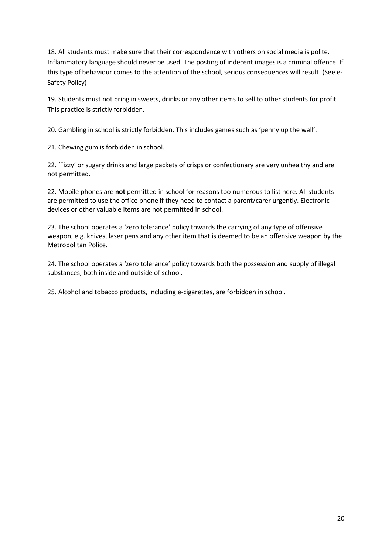18. All students must make sure that their correspondence with others on social media is polite. Inflammatory language should never be used. The posting of indecent images is a criminal offence. If this type of behaviour comes to the attention of the school, serious consequences will result. (See e-Safety Policy)

19. Students must not bring in sweets, drinks or any other items to sell to other students for profit. This practice is strictly forbidden.

20. Gambling in school is strictly forbidden. This includes games such as 'penny up the wall'.

21. Chewing gum is forbidden in school.

22. 'Fizzy' or sugary drinks and large packets of crisps or confectionary are very unhealthy and are not permitted.

22. Mobile phones are **not** permitted in school for reasons too numerous to list here. All students are permitted to use the office phone if they need to contact a parent/carer urgently. Electronic devices or other valuable items are not permitted in school.

23. The school operates a 'zero tolerance' policy towards the carrying of any type of offensive weapon, e.g. knives, laser pens and any other item that is deemed to be an offensive weapon by the Metropolitan Police.

24. The school operates a 'zero tolerance' policy towards both the possession and supply of illegal substances, both inside and outside of school.

25. Alcohol and tobacco products, including e-cigarettes, are forbidden in school.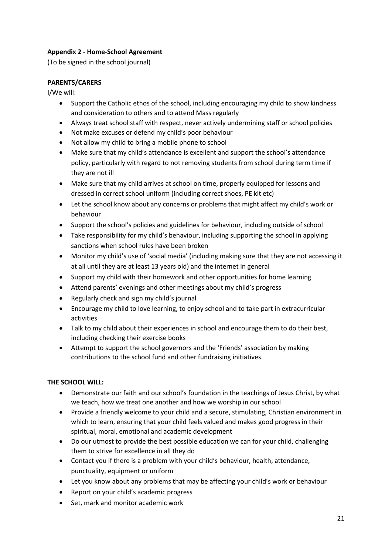## **Appendix 2 - Home-School Agreement**

(To be signed in the school journal)

# **PARENTS/CARERS**

I/We will:

- Support the Catholic ethos of the school, including encouraging my child to show kindness and consideration to others and to attend Mass regularly
- Always treat school staff with respect, never actively undermining staff or school policies
- Not make excuses or defend my child's poor behaviour
- Not allow my child to bring a mobile phone to school
- Make sure that my child's attendance is excellent and support the school's attendance policy, particularly with regard to not removing students from school during term time if they are not ill
- Make sure that my child arrives at school on time, properly equipped for lessons and dressed in correct school uniform (including correct shoes, PE kit etc)
- Let the school know about any concerns or problems that might affect my child's work or behaviour
- Support the school's policies and guidelines for behaviour, including outside of school
- Take responsibility for my child's behaviour, including supporting the school in applying sanctions when school rules have been broken
- Monitor my child's use of 'social media' (including making sure that they are not accessing it at all until they are at least 13 years old) and the internet in general
- Support my child with their homework and other opportunities for home learning
- Attend parents' evenings and other meetings about my child's progress
- Regularly check and sign my child's journal
- Encourage my child to love learning, to enjoy school and to take part in extracurricular activities
- Talk to my child about their experiences in school and encourage them to do their best, including checking their exercise books
- Attempt to support the school governors and the 'Friends' association by making contributions to the school fund and other fundraising initiatives.

### **THE SCHOOL WILL:**

- Demonstrate our faith and our school's foundation in the teachings of Jesus Christ, by what we teach, how we treat one another and how we worship in our school
- Provide a friendly welcome to your child and a secure, stimulating, Christian environment in which to learn, ensuring that your child feels valued and makes good progress in their spiritual, moral, emotional and academic development
- Do our utmost to provide the best possible education we can for your child, challenging them to strive for excellence in all they do
- Contact you if there is a problem with your child's behaviour, health, attendance, punctuality, equipment or uniform
- Let you know about any problems that may be affecting your child's work or behaviour
- Report on your child's academic progress
- Set, mark and monitor academic work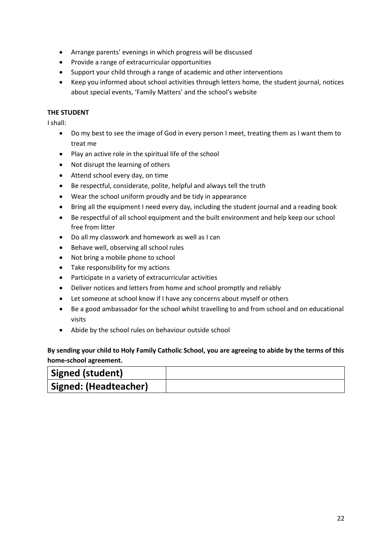- Arrange parents' evenings in which progress will be discussed
- Provide a range of extracurricular opportunities
- Support your child through a range of academic and other interventions
- Keep you informed about school activities through letters home, the student journal, notices about special events, 'Family Matters' and the school's website

#### **THE STUDENT**

I shall:

- Do my best to see the image of God in every person I meet, treating them as I want them to treat me
- Play an active role in the spiritual life of the school
- Not disrupt the learning of others
- Attend school every day, on time
- Be respectful, considerate, polite, helpful and always tell the truth
- Wear the school uniform proudly and be tidy in appearance
- Bring all the equipment I need every day, including the student journal and a reading book
- Be respectful of all school equipment and the built environment and help keep our school free from litter
- Do all my classwork and homework as well as I can
- Behave well, observing all school rules
- Not bring a mobile phone to school
- Take responsibility for my actions
- Participate in a variety of extracurricular activities
- Deliver notices and letters from home and school promptly and reliably
- Let someone at school know if I have any concerns about myself or others
- Be a good ambassador for the school whilst travelling to and from school and on educational visits
- Abide by the school rules on behaviour outside school

# **By sending your child to Holy Family Catholic School, you are agreeing to abide by the terms of this home-school agreement.**

| <b>Signed (student)</b> |  |
|-------------------------|--|
| Signed: (Headteacher)   |  |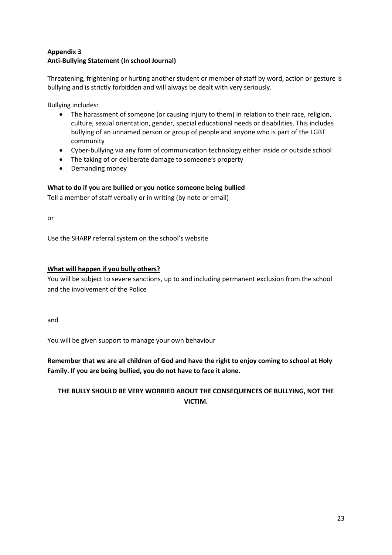# **Appendix 3 Anti-Bullying Statement (In school Journal)**

Threatening, frightening or hurting another student or member of staff by word, action or gesture is bullying and is strictly forbidden and will always be dealt with very seriously.

Bullying includes:

- The harassment of someone (or causing injury to them) in relation to their race, religion, culture, sexual orientation, gender, special educational needs or disabilities. This includes bullying of an unnamed person or group of people and anyone who is part of the LGBT community
- Cyber-bullying via any form of communication technology either inside or outside school
- The taking of or deliberate damage to someone's property
- Demanding money

## **What to do if you are bullied or you notice someone being bullied**

Tell a member of staff verbally or in writing (by note or email)

or

Use the SHARP referral system on the school's website

### **What will happen if you bully others?**

You will be subject to severe sanctions, up to and including permanent exclusion from the school and the involvement of the Police

and

You will be given support to manage your own behaviour

**Remember that we are all children of God and have the right to enjoy coming to school at Holy Family. If you are being bullied, you do not have to face it alone.** 

# **THE BULLY SHOULD BE VERY WORRIED ABOUT THE CONSEQUENCES OF BULLYING, NOT THE VICTIM.**